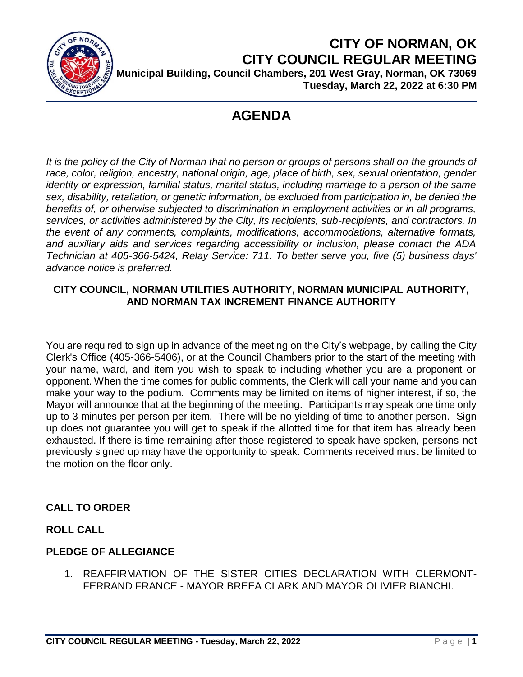

**CITY OF NORMAN, OK CITY COUNCIL REGULAR MEETING Municipal Building, Council Chambers, 201 West Gray, Norman, OK 73069 Tuesday, March 22, 2022 at 6:30 PM**

# **AGENDA**

It is the policy of the City of Norman that no person or groups of persons shall on the grounds of *race, color, religion, ancestry, national origin, age, place of birth, sex, sexual orientation, gender identity or expression, familial status, marital status, including marriage to a person of the same sex, disability, retaliation, or genetic information, be excluded from participation in, be denied the benefits of, or otherwise subjected to discrimination in employment activities or in all programs, services, or activities administered by the City, its recipients, sub-recipients, and contractors. In the event of any comments, complaints, modifications, accommodations, alternative formats, and auxiliary aids and services regarding accessibility or inclusion, please contact the ADA Technician at 405-366-5424, Relay Service: 711. To better serve you, five (5) business days' advance notice is preferred.*

## **CITY COUNCIL, NORMAN UTILITIES AUTHORITY, NORMAN MUNICIPAL AUTHORITY, AND NORMAN TAX INCREMENT FINANCE AUTHORITY**

You are required to sign up in advance of the meeting on the City's webpage, by calling the City Clerk's Office (405-366-5406), or at the Council Chambers prior to the start of the meeting with your name, ward, and item you wish to speak to including whether you are a proponent or opponent. When the time comes for public comments, the Clerk will call your name and you can make your way to the podium. Comments may be limited on items of higher interest, if so, the Mayor will announce that at the beginning of the meeting. Participants may speak one time only up to 3 minutes per person per item. There will be no yielding of time to another person. Sign up does not guarantee you will get to speak if the allotted time for that item has already been exhausted. If there is time remaining after those registered to speak have spoken, persons not previously signed up may have the opportunity to speak. Comments received must be limited to the motion on the floor only.

# **CALL TO ORDER**

## **ROLL CALL**

## **PLEDGE OF ALLEGIANCE**

1. REAFFIRMATION OF THE SISTER CITIES DECLARATION WITH CLERMONT-FERRAND FRANCE - MAYOR BREEA CLARK AND MAYOR OLIVIER BIANCHI.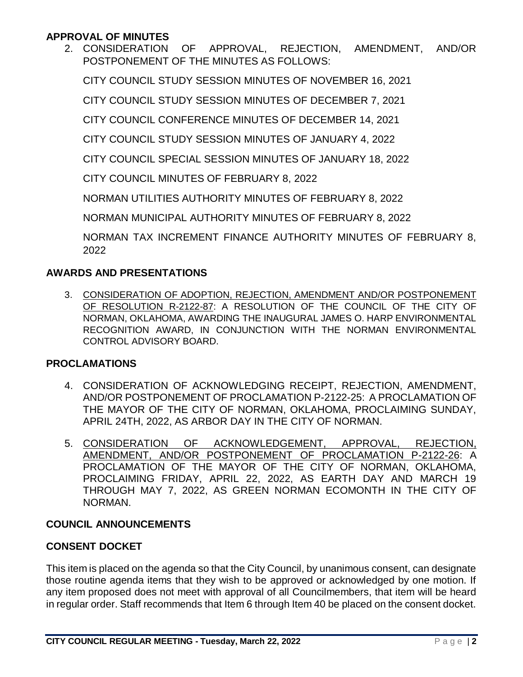#### **APPROVAL OF MINUTES**

2. CONSIDERATION OF APPROVAL, REJECTION, AMENDMENT, AND/OR POSTPONEMENT OF THE MINUTES AS FOLLOWS:

CITY COUNCIL STUDY SESSION MINUTES OF NOVEMBER 16, 2021

CITY COUNCIL STUDY SESSION MINUTES OF DECEMBER 7, 2021

CITY COUNCIL CONFERENCE MINUTES OF DECEMBER 14, 2021

CITY COUNCIL STUDY SESSION MINUTES OF JANUARY 4, 2022

CITY COUNCIL SPECIAL SESSION MINUTES OF JANUARY 18, 2022

CITY COUNCIL MINUTES OF FEBRUARY 8, 2022

NORMAN UTILITIES AUTHORITY MINUTES OF FEBRUARY 8, 2022

NORMAN MUNICIPAL AUTHORITY MINUTES OF FEBRUARY 8, 2022

NORMAN TAX INCREMENT FINANCE AUTHORITY MINUTES OF FEBRUARY 8, 2022

#### **AWARDS AND PRESENTATIONS**

3. CONSIDERATION OF ADOPTION, REJECTION, AMENDMENT AND/OR POSTPONEMENT OF RESOLUTION R-2122-87: A RESOLUTION OF THE COUNCIL OF THE CITY OF NORMAN, OKLAHOMA, AWARDING THE INAUGURAL JAMES O. HARP ENVIRONMENTAL RECOGNITION AWARD, IN CONJUNCTION WITH THE NORMAN ENVIRONMENTAL CONTROL ADVISORY BOARD.

#### **PROCLAMATIONS**

- 4. CONSIDERATION OF ACKNOWLEDGING RECEIPT, REJECTION, AMENDMENT, AND/OR POSTPONEMENT OF PROCLAMATION P-2122-25: A PROCLAMATION OF THE MAYOR OF THE CITY OF NORMAN, OKLAHOMA, PROCLAIMING SUNDAY, APRIL 24TH, 2022, AS ARBOR DAY IN THE CITY OF NORMAN.
- 5. CONSIDERATION OF ACKNOWLEDGEMENT, APPROVAL, REJECTION, AMENDMENT, AND/OR POSTPONEMENT OF PROCLAMATION P-2122-26: A PROCLAMATION OF THE MAYOR OF THE CITY OF NORMAN, OKLAHOMA, PROCLAIMING FRIDAY, APRIL 22, 2022, AS EARTH DAY AND MARCH 19 THROUGH MAY 7, 2022, AS GREEN NORMAN ECOMONTH IN THE CITY OF NORMAN.

## **COUNCIL ANNOUNCEMENTS**

## **CONSENT DOCKET**

This item is placed on the agenda so that the City Council, by unanimous consent, can designate those routine agenda items that they wish to be approved or acknowledged by one motion. If any item proposed does not meet with approval of all Councilmembers, that item will be heard in regular order. Staff recommends that Item 6 through Item 40 be placed on the consent docket.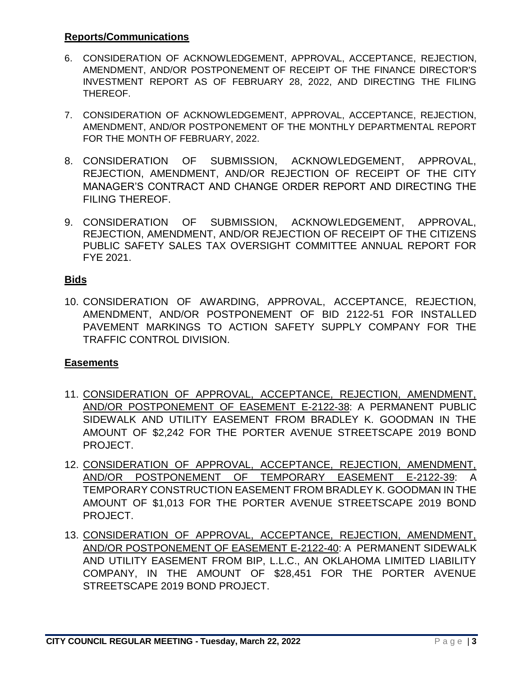#### **Reports/Communications**

- 6. CONSIDERATION OF ACKNOWLEDGEMENT, APPROVAL, ACCEPTANCE, REJECTION, AMENDMENT, AND/OR POSTPONEMENT OF RECEIPT OF THE FINANCE DIRECTOR'S INVESTMENT REPORT AS OF FEBRUARY 28, 2022, AND DIRECTING THE FILING THEREOF.
- 7. CONSIDERATION OF ACKNOWLEDGEMENT, APPROVAL, ACCEPTANCE, REJECTION, AMENDMENT, AND/OR POSTPONEMENT OF THE MONTHLY DEPARTMENTAL REPORT FOR THE MONTH OF FEBRUARY, 2022.
- 8. CONSIDERATION OF SUBMISSION, ACKNOWLEDGEMENT, APPROVAL, REJECTION, AMENDMENT, AND/OR REJECTION OF RECEIPT OF THE CITY MANAGER'S CONTRACT AND CHANGE ORDER REPORT AND DIRECTING THE FILING THEREOF.
- 9. CONSIDERATION OF SUBMISSION, ACKNOWLEDGEMENT, APPROVAL, REJECTION, AMENDMENT, AND/OR REJECTION OF RECEIPT OF THE CITIZENS PUBLIC SAFETY SALES TAX OVERSIGHT COMMITTEE ANNUAL REPORT FOR FYE 2021.

## **Bids**

10. CONSIDERATION OF AWARDING, APPROVAL, ACCEPTANCE, REJECTION, AMENDMENT, AND/OR POSTPONEMENT OF BID 2122-51 FOR INSTALLED PAVEMENT MARKINGS TO ACTION SAFETY SUPPLY COMPANY FOR THE TRAFFIC CONTROL DIVISION.

## **Easements**

- 11. CONSIDERATION OF APPROVAL, ACCEPTANCE, REJECTION, AMENDMENT, AND/OR POSTPONEMENT OF EASEMENT E-2122-38: A PERMANENT PUBLIC SIDEWALK AND UTILITY EASEMENT FROM BRADLEY K. GOODMAN IN THE AMOUNT OF \$2,242 FOR THE PORTER AVENUE STREETSCAPE 2019 BOND PROJECT.
- 12. CONSIDERATION OF APPROVAL, ACCEPTANCE, REJECTION, AMENDMENT, AND/OR POSTPONEMENT OF TEMPORARY EASEMENT E-2122-39: A TEMPORARY CONSTRUCTION EASEMENT FROM BRADLEY K. GOODMAN IN THE AMOUNT OF \$1,013 FOR THE PORTER AVENUE STREETSCAPE 2019 BOND PROJECT.
- 13. CONSIDERATION OF APPROVAL, ACCEPTANCE, REJECTION, AMENDMENT, AND/OR POSTPONEMENT OF EASEMENT E-2122-40: A PERMANENT SIDEWALK AND UTILITY EASEMENT FROM BIP, L.L.C., AN OKLAHOMA LIMITED LIABILITY COMPANY, IN THE AMOUNT OF \$28,451 FOR THE PORTER AVENUE STREETSCAPE 2019 BOND PROJECT.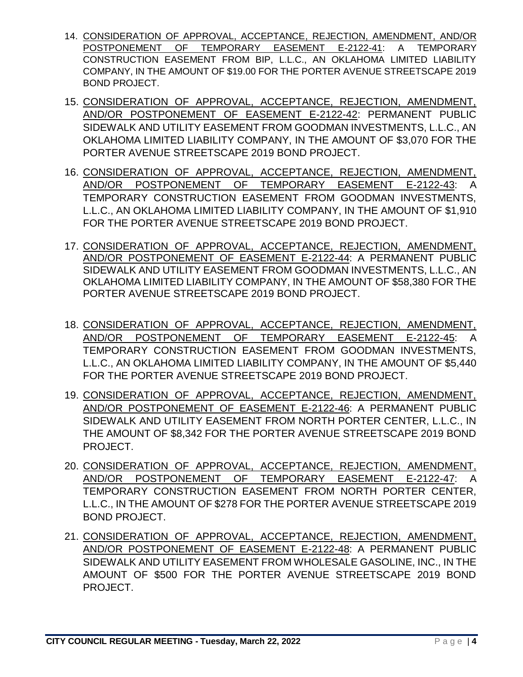- 14. CONSIDERATION OF APPROVAL, ACCEPTANCE, REJECTION, AMENDMENT, AND/OR POSTPONEMENT OF TEMPORARY EASEMENT E-2122-41: A TEMPORARY CONSTRUCTION EASEMENT FROM BIP, L.L.C., AN OKLAHOMA LIMITED LIABILITY COMPANY, IN THE AMOUNT OF \$19.00 FOR THE PORTER AVENUE STREETSCAPE 2019 BOND PROJECT.
- 15. CONSIDERATION OF APPROVAL, ACCEPTANCE, REJECTION, AMENDMENT, AND/OR POSTPONEMENT OF EASEMENT E-2122-42: PERMANENT PUBLIC SIDEWALK AND UTILITY EASEMENT FROM GOODMAN INVESTMENTS, L.L.C., AN OKLAHOMA LIMITED LIABILITY COMPANY, IN THE AMOUNT OF \$3,070 FOR THE PORTER AVENUE STREETSCAPE 2019 BOND PROJECT.
- 16. CONSIDERATION OF APPROVAL, ACCEPTANCE, REJECTION, AMENDMENT, AND/OR POSTPONEMENT OF TEMPORARY EASEMENT E-2122-43: A TEMPORARY CONSTRUCTION EASEMENT FROM GOODMAN INVESTMENTS, L.L.C., AN OKLAHOMA LIMITED LIABILITY COMPANY, IN THE AMOUNT OF \$1,910 FOR THE PORTER AVENUE STREETSCAPE 2019 BOND PROJECT.
- 17. CONSIDERATION OF APPROVAL, ACCEPTANCE, REJECTION, AMENDMENT, AND/OR POSTPONEMENT OF EASEMENT E-2122-44: A PERMANENT PUBLIC SIDEWALK AND UTILITY EASEMENT FROM GOODMAN INVESTMENTS, L.L.C., AN OKLAHOMA LIMITED LIABILITY COMPANY, IN THE AMOUNT OF \$58,380 FOR THE PORTER AVENUE STREETSCAPE 2019 BOND PROJECT.
- 18. CONSIDERATION OF APPROVAL, ACCEPTANCE, REJECTION, AMENDMENT, AND/OR POSTPONEMENT OF TEMPORARY EASEMENT E-2122-45: A TEMPORARY CONSTRUCTION EASEMENT FROM GOODMAN INVESTMENTS, L.L.C., AN OKLAHOMA LIMITED LIABILITY COMPANY, IN THE AMOUNT OF \$5,440 FOR THE PORTER AVENUE STREETSCAPE 2019 BOND PROJECT.
- 19. CONSIDERATION OF APPROVAL, ACCEPTANCE, REJECTION, AMENDMENT, AND/OR POSTPONEMENT OF EASEMENT E-2122-46: A PERMANENT PUBLIC SIDEWALK AND UTILITY EASEMENT FROM NORTH PORTER CENTER, L.L.C., IN THE AMOUNT OF \$8,342 FOR THE PORTER AVENUE STREETSCAPE 2019 BOND PROJECT.
- 20. CONSIDERATION OF APPROVAL, ACCEPTANCE, REJECTION, AMENDMENT, AND/OR POSTPONEMENT OF TEMPORARY EASEMENT E-2122-47: A TEMPORARY CONSTRUCTION EASEMENT FROM NORTH PORTER CENTER, L.L.C., IN THE AMOUNT OF \$278 FOR THE PORTER AVENUE STREETSCAPE 2019 BOND PROJECT.
- 21. CONSIDERATION OF APPROVAL, ACCEPTANCE, REJECTION, AMENDMENT, AND/OR POSTPONEMENT OF EASEMENT E-2122-48: A PERMANENT PUBLIC SIDEWALK AND UTILITY EASEMENT FROM WHOLESALE GASOLINE, INC., IN THE AMOUNT OF \$500 FOR THE PORTER AVENUE STREETSCAPE 2019 BOND PROJECT.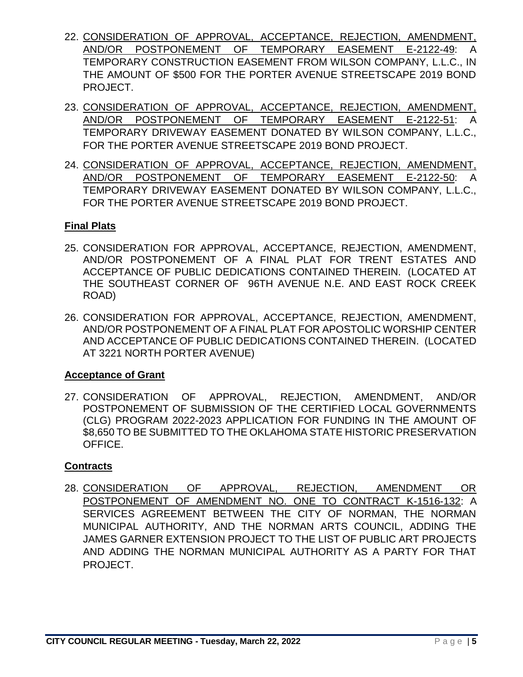- 22. CONSIDERATION OF APPROVAL, ACCEPTANCE, REJECTION, AMENDMENT, AND/OR POSTPONEMENT OF TEMPORARY EASEMENT E-2122-49: A TEMPORARY CONSTRUCTION EASEMENT FROM WILSON COMPANY, L.L.C., IN THE AMOUNT OF \$500 FOR THE PORTER AVENUE STREETSCAPE 2019 BOND PROJECT.
- 23. CONSIDERATION OF APPROVAL, ACCEPTANCE, REJECTION, AMENDMENT, AND/OR POSTPONEMENT OF TEMPORARY EASEMENT E-2122-51: A TEMPORARY DRIVEWAY EASEMENT DONATED BY WILSON COMPANY, L.L.C., FOR THE PORTER AVENUE STREETSCAPE 2019 BOND PROJECT.
- 24. CONSIDERATION OF APPROVAL, ACCEPTANCE, REJECTION, AMENDMENT, AND/OR POSTPONEMENT OF TEMPORARY EASEMENT E-2122-50: A TEMPORARY DRIVEWAY EASEMENT DONATED BY WILSON COMPANY, L.L.C., FOR THE PORTER AVENUE STREETSCAPE 2019 BOND PROJECT.

## **Final Plats**

- 25. CONSIDERATION FOR APPROVAL, ACCEPTANCE, REJECTION, AMENDMENT, AND/OR POSTPONEMENT OF A FINAL PLAT FOR TRENT ESTATES AND ACCEPTANCE OF PUBLIC DEDICATIONS CONTAINED THEREIN. (LOCATED AT THE SOUTHEAST CORNER OF 96TH AVENUE N.E. AND EAST ROCK CREEK ROAD)
- 26. CONSIDERATION FOR APPROVAL, ACCEPTANCE, REJECTION, AMENDMENT, AND/OR POSTPONEMENT OF A FINAL PLAT FOR APOSTOLIC WORSHIP CENTER AND ACCEPTANCE OF PUBLIC DEDICATIONS CONTAINED THEREIN. (LOCATED AT 3221 NORTH PORTER AVENUE)

## **Acceptance of Grant**

27. CONSIDERATION OF APPROVAL, REJECTION, AMENDMENT, AND/OR POSTPONEMENT OF SUBMISSION OF THE CERTIFIED LOCAL GOVERNMENTS (CLG) PROGRAM 2022-2023 APPLICATION FOR FUNDING IN THE AMOUNT OF \$8,650 TO BE SUBMITTED TO THE OKLAHOMA STATE HISTORIC PRESERVATION OFFICE.

# **Contracts**

28. CONSIDERATION OF APPROVAL, REJECTION, AMENDMENT OR POSTPONEMENT OF AMENDMENT NO. ONE TO CONTRACT K-1516-132: A SERVICES AGREEMENT BETWEEN THE CITY OF NORMAN, THE NORMAN MUNICIPAL AUTHORITY, AND THE NORMAN ARTS COUNCIL, ADDING THE JAMES GARNER EXTENSION PROJECT TO THE LIST OF PUBLIC ART PROJECTS AND ADDING THE NORMAN MUNICIPAL AUTHORITY AS A PARTY FOR THAT PROJECT.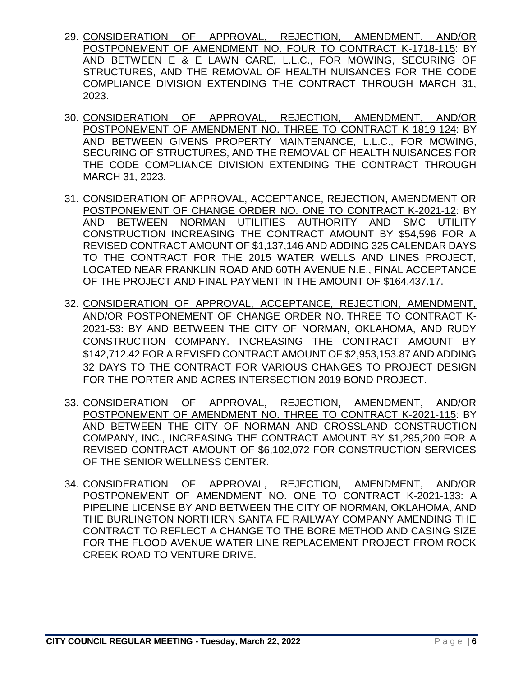- 29. CONSIDERATION OF APPROVAL, REJECTION, AMENDMENT, AND/OR POSTPONEMENT OF AMENDMENT NO. FOUR TO CONTRACT K-1718-115: BY AND BETWEEN E & E LAWN CARE, L.L.C., FOR MOWING, SECURING OF STRUCTURES, AND THE REMOVAL OF HEALTH NUISANCES FOR THE CODE COMPLIANCE DIVISION EXTENDING THE CONTRACT THROUGH MARCH 31, 2023.
- 30. CONSIDERATION OF APPROVAL, REJECTION, AMENDMENT, AND/OR POSTPONEMENT OF AMENDMENT NO. THREE TO CONTRACT K-1819-124: BY AND BETWEEN GIVENS PROPERTY MAINTENANCE, L.L.C., FOR MOWING, SECURING OF STRUCTURES, AND THE REMOVAL OF HEALTH NUISANCES FOR THE CODE COMPLIANCE DIVISION EXTENDING THE CONTRACT THROUGH MARCH 31, 2023.
- 31. CONSIDERATION OF APPROVAL, ACCEPTANCE, REJECTION, AMENDMENT OR POSTPONEMENT OF CHANGE ORDER NO. ONE TO CONTRACT K-2021-12: BY AND BETWEEN NORMAN UTILITIES AUTHORITY AND SMC UTILITY CONSTRUCTION INCREASING THE CONTRACT AMOUNT BY \$54,596 FOR A REVISED CONTRACT AMOUNT OF \$1,137,146 AND ADDING 325 CALENDAR DAYS TO THE CONTRACT FOR THE 2015 WATER WELLS AND LINES PROJECT, LOCATED NEAR FRANKLIN ROAD AND 60TH AVENUE N.E., FINAL ACCEPTANCE OF THE PROJECT AND FINAL PAYMENT IN THE AMOUNT OF \$164,437.17.
- 32. CONSIDERATION OF APPROVAL, ACCEPTANCE, REJECTION, AMENDMENT, AND/OR POSTPONEMENT OF CHANGE ORDER NO. THREE TO CONTRACT K-2021-53: BY AND BETWEEN THE CITY OF NORMAN, OKLAHOMA, AND RUDY CONSTRUCTION COMPANY. INCREASING THE CONTRACT AMOUNT BY \$142,712.42 FOR A REVISED CONTRACT AMOUNT OF \$2,953,153.87 AND ADDING 32 DAYS TO THE CONTRACT FOR VARIOUS CHANGES TO PROJECT DESIGN FOR THE PORTER AND ACRES INTERSECTION 2019 BOND PROJECT.
- 33. CONSIDERATION OF APPROVAL, REJECTION, AMENDMENT, AND/OR POSTPONEMENT OF AMENDMENT NO. THREE TO CONTRACT K-2021-115: BY AND BETWEEN THE CITY OF NORMAN AND CROSSLAND CONSTRUCTION COMPANY, INC., INCREASING THE CONTRACT AMOUNT BY \$1,295,200 FOR A REVISED CONTRACT AMOUNT OF \$6,102,072 FOR CONSTRUCTION SERVICES OF THE SENIOR WELLNESS CENTER.
- 34. CONSIDERATION OF APPROVAL, REJECTION, AMENDMENT, AND/OR POSTPONEMENT OF AMENDMENT NO. ONE TO CONTRACT K-2021-133: A PIPELINE LICENSE BY AND BETWEEN THE CITY OF NORMAN, OKLAHOMA, AND THE BURLINGTON NORTHERN SANTA FE RAILWAY COMPANY AMENDING THE CONTRACT TO REFLECT A CHANGE TO THE BORE METHOD AND CASING SIZE FOR THE FLOOD AVENUE WATER LINE REPLACEMENT PROJECT FROM ROCK CREEK ROAD TO VENTURE DRIVE.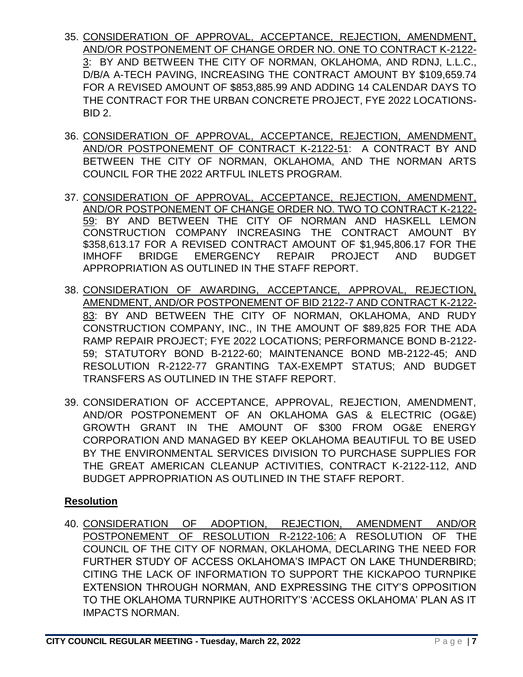- 35. CONSIDERATION OF APPROVAL, ACCEPTANCE, REJECTION, AMENDMENT, AND/OR POSTPONEMENT OF CHANGE ORDER NO. ONE TO CONTRACT K-2122- 3: BY AND BETWEEN THE CITY OF NORMAN, OKLAHOMA, AND RDNJ, L.L.C., D/B/A A-TECH PAVING, INCREASING THE CONTRACT AMOUNT BY \$109,659.74 FOR A REVISED AMOUNT OF \$853,885.99 AND ADDING 14 CALENDAR DAYS TO THE CONTRACT FOR THE URBAN CONCRETE PROJECT, FYE 2022 LOCATIONS-BID 2.
- 36. CONSIDERATION OF APPROVAL, ACCEPTANCE, REJECTION, AMENDMENT, AND/OR POSTPONEMENT OF CONTRACT K-2122-51: A CONTRACT BY AND BETWEEN THE CITY OF NORMAN, OKLAHOMA, AND THE NORMAN ARTS COUNCIL FOR THE 2022 ARTFUL INLETS PROGRAM.
- 37. CONSIDERATION OF APPROVAL, ACCEPTANCE, REJECTION, AMENDMENT, AND/OR POSTPONEMENT OF CHANGE ORDER NO. TWO TO CONTRACT K-2122- 59: BY AND BETWEEN THE CITY OF NORMAN AND HASKELL LEMON CONSTRUCTION COMPANY INCREASING THE CONTRACT AMOUNT BY \$358,613.17 FOR A REVISED CONTRACT AMOUNT OF \$1,945,806.17 FOR THE IMHOFF BRIDGE EMERGENCY REPAIR PROJECT AND BUDGET APPROPRIATION AS OUTLINED IN THE STAFF REPORT.
- 38. CONSIDERATION OF AWARDING, ACCEPTANCE, APPROVAL, REJECTION, AMENDMENT, AND/OR POSTPONEMENT OF BID 2122-7 AND CONTRACT K-2122- 83: BY AND BETWEEN THE CITY OF NORMAN, OKLAHOMA, AND RUDY CONSTRUCTION COMPANY, INC., IN THE AMOUNT OF \$89,825 FOR THE ADA RAMP REPAIR PROJECT; FYE 2022 LOCATIONS; PERFORMANCE BOND B-2122- 59; STATUTORY BOND B-2122-60; MAINTENANCE BOND MB-2122-45; AND RESOLUTION R-2122-77 GRANTING TAX-EXEMPT STATUS; AND BUDGET TRANSFERS AS OUTLINED IN THE STAFF REPORT.
- 39. CONSIDERATION OF ACCEPTANCE, APPROVAL, REJECTION, AMENDMENT, AND/OR POSTPONEMENT OF AN OKLAHOMA GAS & ELECTRIC (OG&E) GROWTH GRANT IN THE AMOUNT OF \$300 FROM OG&E ENERGY CORPORATION AND MANAGED BY KEEP OKLAHOMA BEAUTIFUL TO BE USED BY THE ENVIRONMENTAL SERVICES DIVISION TO PURCHASE SUPPLIES FOR THE GREAT AMERICAN CLEANUP ACTIVITIES, CONTRACT K-2122-112, AND BUDGET APPROPRIATION AS OUTLINED IN THE STAFF REPORT.

## **Resolution**

40. CONSIDERATION OF ADOPTION, REJECTION, AMENDMENT AND/OR POSTPONEMENT OF RESOLUTION R-2122-106: A RESOLUTION OF THE COUNCIL OF THE CITY OF NORMAN, OKLAHOMA, DECLARING THE NEED FOR FURTHER STUDY OF ACCESS OKLAHOMA'S IMPACT ON LAKE THUNDERBIRD; CITING THE LACK OF INFORMATION TO SUPPORT THE KICKAPOO TURNPIKE EXTENSION THROUGH NORMAN, AND EXPRESSING THE CITY'S OPPOSITION TO THE OKLAHOMA TURNPIKE AUTHORITY'S 'ACCESS OKLAHOMA' PLAN AS IT IMPACTS NORMAN.